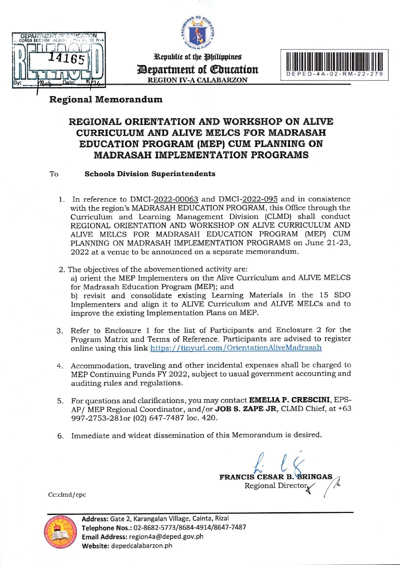



Republic of the Philippines **Devartment of Education REGION IV-A CALABARZON** 



### **Regional Memorandum**

### REGIONAL ORIENTATION AND WORKSHOP ON ALIVE **CURRICULUM AND ALIVE MELCS FOR MADRASAH** EDUCATION PROGRAM (MEP) CUM PLANNING ON **MADRASAH IMPLEMENTATION PROGRAMS**

#### To **Schools Division Superintendents**

- 1. In reference to DMCI-2022-00063 and DMCI-2022-095 and in consistence with the region's MADRASAH EDUCATION PROGRAM, this Office through the Curriculum and Learning Management Division (CLMD) shall conduct REGIONAL ORIENTATION AND WORKSHOP ON ALIVE CURRICULUM AND ALIVE MELCS FOR MADRASAH EDUCATION PROGRAM (MEP) CUM PLANNING ON MADRASAH IMPLEMENTATION PROGRAMS on June 21-23, 2022 at a venue to be announced on a separate memorandum.
- 2. The objectives of the abovementioned activity are: a) orient the MEP Implementers on the Alive Curriculum and ALIVE MELCS for Madrasah Education Program (MEP); and b) revisit and consolidate existing Learning Materials in the 15 SDO Implementers and align it to ALIVE Curriculum and ALIVE MELCs and to improve the existing Implementation Plans on MEP.
- 3. Refer to Enclosure 1 for the list of Participants and Enclosure 2 for the Program Matrix and Terms of Reference. Participants are advised to register online using this link https://tinyurl.com/OrientationAliveMadrasah
- 4. Accommodation, traveling and other incidental expenses shall be charged to MEP Continuing Funds FY 2022, subject to usual government accounting and auditing rules and regulations.
- 5. For questions and clarifications, you may contact EMELIA P. CRESCINI, EPS-AP/ MEP Regional Coordinator, and/or JOB S. ZAPE JR, CLMD Chief, at +63 997-2753-281or (02) 647-7487 loc. 420.
- 6. Immediate and widest dissemination of this Memorandum is desired.

FRANCIS CESAR B. BRINGAS Regional Directory

Cc:clmd/epc

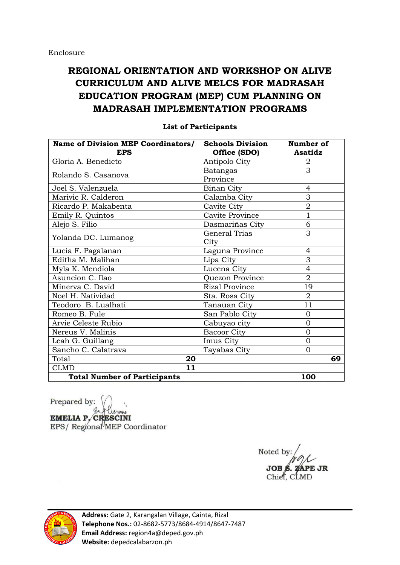# **REGIONAL ORIENTATION AND WORKSHOP ON ALIVE CURRICULUM AND ALIVE MELCS FOR MADRASAH EDUCATION PROGRAM (MEP) CUM PLANNING ON MADRASAH IMPLEMENTATION PROGRAMS**

| <b>Name of Division MEP Coordinators/</b> | <b>Schools Division</b> | Number of      |
|-------------------------------------------|-------------------------|----------------|
| <b>EPS</b>                                | Office (SDO)            | Asatidz        |
| Gloria A. Benedicto                       | Antipolo City           | 2              |
| Rolando S. Casanova                       | <b>Batangas</b>         | 3              |
|                                           | Province                |                |
| Joel S. Valenzuela                        | Biñan City              | 4              |
| Marivic R. Calderon                       | Calamba City            | 3              |
| Ricardo P. Makabenta                      | Cavite City             | $\mathbf 2$    |
| Emily R. Quintos                          | Cavite Province         | $\mathbf{1}$   |
| Alejo S. Filio                            | Dasmariñas City         | 6              |
|                                           | <b>General Trias</b>    | 3              |
| Yolanda DC. Lumanog                       | City                    |                |
| Lucia F. Pagalanan                        | Laguna Province         | 4              |
| Editha M. Malihan                         | Lipa City               | 3              |
| Myla K. Mendiola                          | Lucena City             | 4              |
| Asuncion C. Ilao                          | Quezon Province         | $\overline{2}$ |
| Minerva C. David                          | <b>Rizal Province</b>   | 19             |
| Noel H. Natividad                         | Sta. Rosa City          | $\overline{2}$ |
| Teodoro B. Lualhati                       | Tanauan City            | 11             |
| Romeo B. Fule                             | San Pablo City          | $\overline{0}$ |
| Arvie Celeste Rubio                       | Cabuyao city            | $\Omega$       |
| Nereus V. Malinis                         | Bacoor City             | $\overline{0}$ |
| Leah G. Guillang                          | Imus City               | $\overline{0}$ |
| Sancho C. Calatrava                       | Tayabas City            | $\Omega$       |
| Total<br>20                               |                         | 69             |
| 11<br><b>CLMD</b>                         |                         |                |
| <b>Total Number of Participants</b>       |                         | 100            |

#### **List of Participants**

Prepared by: **EMELIA P. CRESCINI** EPS/ Regional MEP Coordinator

Noted by Chief. CLMD



**Address:** Gate 2, Karangalan Village, Cainta, Rizal **Telephone Nos.:** 02-8682-5773/8684-4914/8647-7487 **Email Address:** region4a@deped.gov.ph **Website:** depedcalabarzon.ph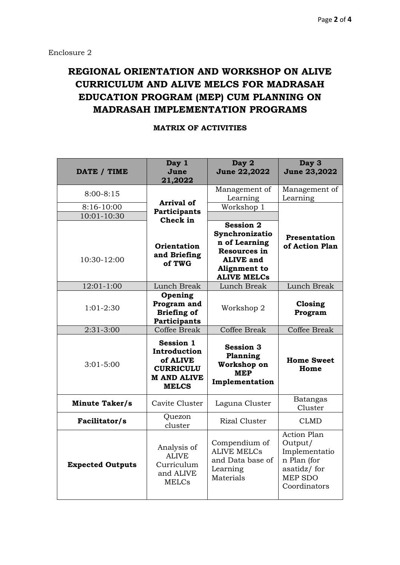# **REGIONAL ORIENTATION AND WORKSHOP ON ALIVE CURRICULUM AND ALIVE MELCS FOR MADRASAH EDUCATION PROGRAM (MEP) CUM PLANNING ON MADRASAH IMPLEMENTATION PROGRAMS**

| DATE / TIME                | Day 1<br>June<br>21,2022                                                                               | Day 2<br><b>June 22,2022</b>                                                                                                         | Day 3<br>June 23,2022                                                                                          |
|----------------------------|--------------------------------------------------------------------------------------------------------|--------------------------------------------------------------------------------------------------------------------------------------|----------------------------------------------------------------------------------------------------------------|
| $8:00 - 8:15$              |                                                                                                        | Management of<br>Learning                                                                                                            | Management of<br>Learning                                                                                      |
| 8:16-10:00                 | <b>Arrival of</b><br>Participants<br>Check in<br>Orientation<br>and Briefing<br>of TWG                 | Workshop 1                                                                                                                           |                                                                                                                |
| 10:01-10:30<br>10:30-12:00 |                                                                                                        | <b>Session 2</b><br>Synchronizatio<br>n of Learning<br><b>Resources in</b><br><b>ALIVE and</b><br>Alignment to<br><b>ALIVE MELCs</b> | Presentation<br>of Action Plan                                                                                 |
| 12:01-1:00                 | Lunch Break                                                                                            | Lunch Break                                                                                                                          | Lunch Break                                                                                                    |
| $1:01-2:30$                | Opening<br>Program and<br><b>Briefing of</b><br>Participants                                           | Workshop 2                                                                                                                           | Closing<br>Program                                                                                             |
| 2:31-3:00                  | Coffee Break                                                                                           | <b>Coffee Break</b>                                                                                                                  | Coffee Break                                                                                                   |
| $3:01 - 5:00$              | <b>Session 1</b><br>Introduction<br>of ALIVE<br><b>CURRICULU</b><br><b>M AND ALIVE</b><br><b>MELCS</b> | <b>Session 3</b><br>Planning<br>Workshop on<br><b>MEP</b><br>Implementation                                                          | <b>Home Sweet</b><br>Home                                                                                      |
| <b>Minute Taker/s</b>      | Cavite Cluster                                                                                         | Laguna Cluster                                                                                                                       | <b>Batangas</b><br>Cluster                                                                                     |
| Facilitator/s              | Quezon<br>cluster                                                                                      | <b>Rizal Cluster</b>                                                                                                                 | <b>CLMD</b>                                                                                                    |
| <b>Expected Outputs</b>    | Analysis of<br><b>ALIVE</b><br>Curriculum<br>and ALIVE<br><b>MELCs</b>                                 | Compendium of<br><b>ALIVE MELCS</b><br>and Data base of<br>Learning<br>Materials                                                     | <b>Action Plan</b><br>Output/<br>Implementatio<br>n Plan (for<br>asatidz/for<br><b>MEP SDO</b><br>Coordinators |

### **MATRIX OF ACTIVITIES**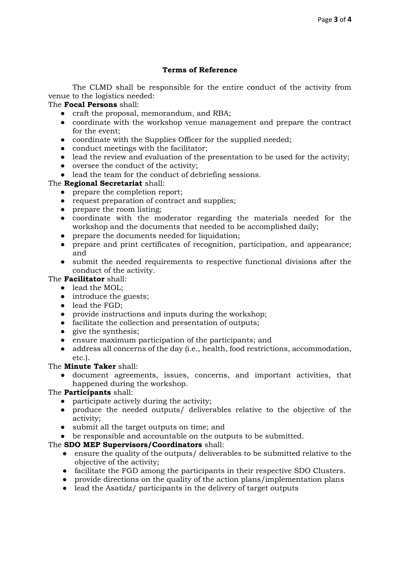#### **Terms of Reference**

The CLMD shall be responsible for the entire conduct of the activity from venue to the logistics needed:

#### The **Focal Persons** shall:

- craft the proposal, memorandum, and RBA;
- coordinate with the workshop venue management and prepare the contract for the event;
- coordinate with the Supplies Officer for the supplied needed;
- conduct meetings with the facilitator;
- lead the review and evaluation of the presentation to be used for the activity;
- oversee the conduct of the activity;
- lead the team for the conduct of debriefing sessions.

#### The **Regional Secretariat** shall:

- prepare the completion report;
- request preparation of contract and supplies;
- prepare the room listing;
- coordinate with the moderator regarding the materials needed for the workshop and the documents that needed to be accomplished daily;
- prepare the documents needed for liquidation;
- prepare and print certificates of recognition, participation, and appearance; and
- submit the needed requirements to respective functional divisions after the conduct of the activity.

#### The **Facilitator** shall:

- lead the MOL;
- introduce the guests;
- lead the FGD;
- provide instructions and inputs during the workshop;
- facilitate the collection and presentation of outputs;
- give the synthesis;
- ensure maximum participation of the participants; and
- address all concerns of the day (i.e., health, food restrictions, accommodation, etc.).

#### The **Minute Taker** shall:

document agreements, issues, concerns, and important activities, that happened during the workshop.

### The **Participants** shall:

- participate actively during the activity;
- produce the needed outputs/ deliverables relative to the objective of the activity;
- submit all the target outputs on time; and
- be responsible and accountable on the outputs to be submitted.

#### The **SDO MEP Supervisors/Coordinators** shall:

- ensure the quality of the outputs/ deliverables to be submitted relative to the objective of the activity;
- facilitate the FGD among the participants in their respective SDO Clusters.
- provide directions on the quality of the action plans/implementation plans
- lead the Asatidz/ participants in the delivery of target outputs